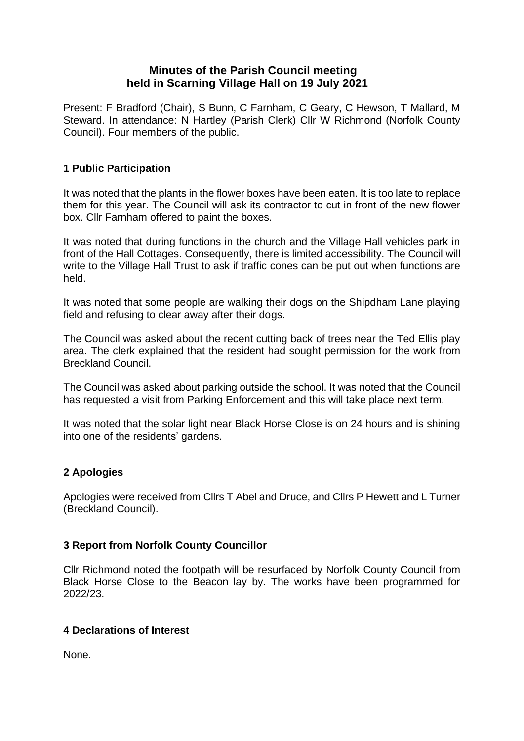# **Minutes of the Parish Council meeting held in Scarning Village Hall on 19 July 2021**

Present: F Bradford (Chair), S Bunn, C Farnham, C Geary, C Hewson, T Mallard, M Steward. In attendance: N Hartley (Parish Clerk) Cllr W Richmond (Norfolk County Council). Four members of the public.

## **1 Public Participation**

It was noted that the plants in the flower boxes have been eaten. It is too late to replace them for this year. The Council will ask its contractor to cut in front of the new flower box. Cllr Farnham offered to paint the boxes.

It was noted that during functions in the church and the Village Hall vehicles park in front of the Hall Cottages. Consequently, there is limited accessibility. The Council will write to the Village Hall Trust to ask if traffic cones can be put out when functions are held.

It was noted that some people are walking their dogs on the Shipdham Lane playing field and refusing to clear away after their dogs.

The Council was asked about the recent cutting back of trees near the Ted Ellis play area. The clerk explained that the resident had sought permission for the work from Breckland Council.

The Council was asked about parking outside the school. It was noted that the Council has requested a visit from Parking Enforcement and this will take place next term.

It was noted that the solar light near Black Horse Close is on 24 hours and is shining into one of the residents' gardens.

# **2 Apologies**

Apologies were received from Cllrs T Abel and Druce, and Cllrs P Hewett and L Turner (Breckland Council).

### **3 Report from Norfolk County Councillor**

Cllr Richmond noted the footpath will be resurfaced by Norfolk County Council from Black Horse Close to the Beacon lay by. The works have been programmed for 2022/23.

### **4 Declarations of Interest**

None.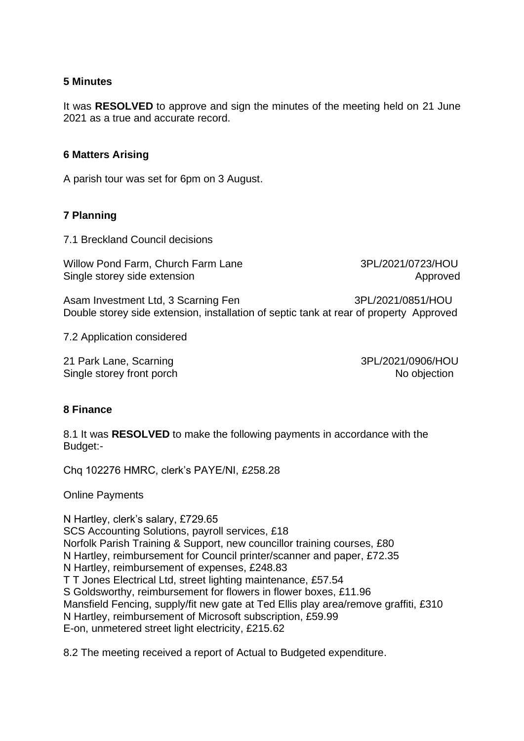#### **5 Minutes**

It was **RESOLVED** to approve and sign the minutes of the meeting held on 21 June 2021 as a true and accurate record.

#### **6 Matters Arising**

A parish tour was set for 6pm on 3 August.

### **7 Planning**

7.1 Breckland Council decisions

Willow Pond Farm, Church Farm Lane 3PL/2021/0723/HOU Single storey side extension Approved Approved Approved Approved Approved Approved Approved Approved Approved Approved Approved Approved Approved Approved Approved Approved Approved Approved Approved Approved Approved Appr

Asam Investment Ltd, 3 Scarning Fen 3PL/2021/0851/HOU Double storey side extension, installation of septic tank at rear of property Approved

7.2 Application considered

21 Park Lane, Scarning 3PL/2021/0906/HOU Single storey front porch No objection

### **8 Finance**

8.1 It was **RESOLVED** to make the following payments in accordance with the Budget:-

Chq 102276 HMRC, clerk's PAYE/NI, £258.28

Online Payments

N Hartley, clerk's salary, £729.65 SCS Accounting Solutions, payroll services, £18 Norfolk Parish Training & Support, new councillor training courses, £80 N Hartley, reimbursement for Council printer/scanner and paper, £72.35 N Hartley, reimbursement of expenses, £248.83 T T Jones Electrical Ltd, street lighting maintenance, £57.54 S Goldsworthy, reimbursement for flowers in flower boxes, £11.96 Mansfield Fencing, supply/fit new gate at Ted Ellis play area/remove graffiti, £310 N Hartley, reimbursement of Microsoft subscription, £59.99 E-on, unmetered street light electricity, £215.62

8.2 The meeting received a report of Actual to Budgeted expenditure.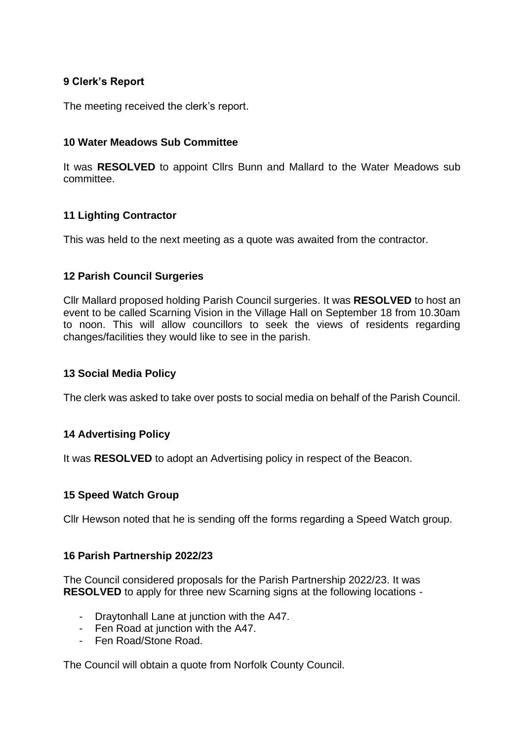## **9 Clerk's Report**

The meeting received the clerk's report.

## **10 Water Meadows Sub Committee**

It was **RESOLVED** to appoint Cllrs Bunn and Mallard to the Water Meadows sub committee.

## **11 Lighting Contractor**

This was held to the next meeting as a quote was awaited from the contractor.

### **12 Parish Council Surgeries**

Cllr Mallard proposed holding Parish Council surgeries. It was **RESOLVED** to host an event to be called Scarning Vision in the Village Hall on September 18 from 10.30am to noon. This will allow councillors to seek the views of residents regarding changes/facilities they would like to see in the parish.

### **13 Social Media Policy**

The clerk was asked to take over posts to social media on behalf of the Parish Council.

### **14 Advertising Policy**

It was **RESOLVED** to adopt an Advertising policy in respect of the Beacon.

### **15 Speed Watch Group**

Cllr Hewson noted that he is sending off the forms regarding a Speed Watch group.

### **16 Parish Partnership 2022/23**

The Council considered proposals for the Parish Partnership 2022/23. It was **RESOLVED** to apply for three new Scarning signs at the following locations -

- Draytonhall Lane at junction with the A47.
- Fen Road at junction with the A47.
- Fen Road/Stone Road.

The Council will obtain a quote from Norfolk County Council.